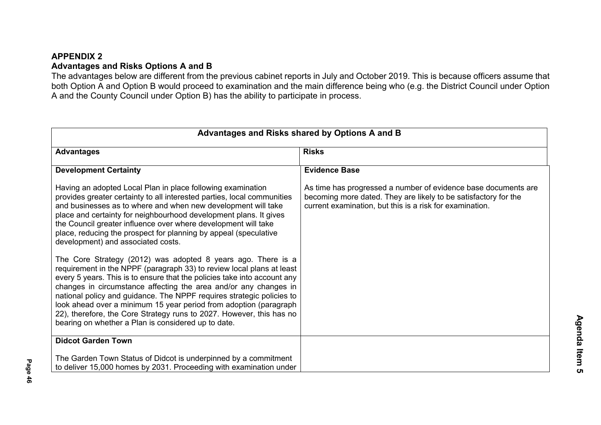## **APPENDIX 2 Advantages and Risks Options A and B**

The advantages below are different from the previous cabinet reports in July and October 2019. This is because officers assume that both Option A and Option B would proceed to examination and the main difference being who (e.g. the District Council under Option A and the County Council under Option B) has the ability to participate in process.

| <b>Advantages</b>                                                                                                                                                                                                                                                                                                                                                                                                                                                                                                                                                  | <b>Risks</b>                                                                                                                                                                                  |
|--------------------------------------------------------------------------------------------------------------------------------------------------------------------------------------------------------------------------------------------------------------------------------------------------------------------------------------------------------------------------------------------------------------------------------------------------------------------------------------------------------------------------------------------------------------------|-----------------------------------------------------------------------------------------------------------------------------------------------------------------------------------------------|
| <b>Development Certainty</b>                                                                                                                                                                                                                                                                                                                                                                                                                                                                                                                                       | <b>Evidence Base</b>                                                                                                                                                                          |
| Having an adopted Local Plan in place following examination<br>provides greater certainty to all interested parties, local communities<br>and businesses as to where and when new development will take<br>place and certainty for neighbourhood development plans. It gives<br>the Council greater influence over where development will take<br>place, reducing the prospect for planning by appeal (speculative<br>development) and associated costs.                                                                                                           | As time has progressed a number of evidence base documents are<br>becoming more dated. They are likely to be satisfactory for the<br>current examination, but this is a risk for examination. |
| The Core Strategy (2012) was adopted 8 years ago. There is a<br>requirement in the NPPF (paragraph 33) to review local plans at least<br>every 5 years. This is to ensure that the policies take into account any<br>changes in circumstance affecting the area and/or any changes in<br>national policy and guidance. The NPPF requires strategic policies to<br>look ahead over a minimum 15 year period from adoption (paragraph<br>22), therefore, the Core Strategy runs to 2027. However, this has no<br>bearing on whether a Plan is considered up to date. |                                                                                                                                                                                               |
| <b>Didcot Garden Town</b>                                                                                                                                                                                                                                                                                                                                                                                                                                                                                                                                          |                                                                                                                                                                                               |
| The Garden Town Status of Didcot is underpinned by a commitment<br>to deliver 15,000 homes by 2031. Proceeding with examination under                                                                                                                                                                                                                                                                                                                                                                                                                              |                                                                                                                                                                                               |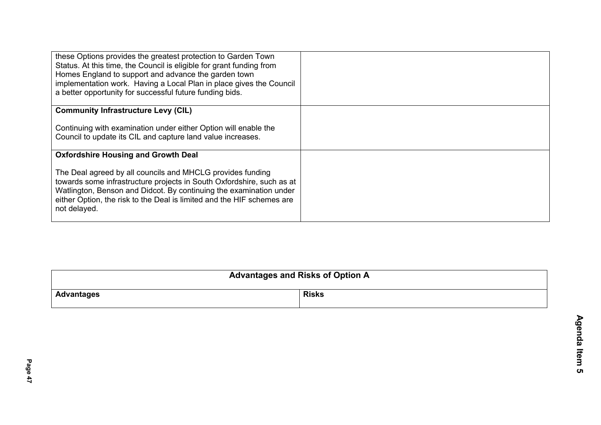| these Options provides the greatest protection to Garden Town<br>Status. At this time, the Council is eligible for grant funding from<br>Homes England to support and advance the garden town<br>implementation work. Having a Local Plan in place gives the Council<br>a better opportunity for successful future funding bids. |  |
|----------------------------------------------------------------------------------------------------------------------------------------------------------------------------------------------------------------------------------------------------------------------------------------------------------------------------------|--|
| <b>Community Infrastructure Levy (CIL)</b>                                                                                                                                                                                                                                                                                       |  |
| Continuing with examination under either Option will enable the<br>Council to update its CIL and capture land value increases.                                                                                                                                                                                                   |  |
| <b>Oxfordshire Housing and Growth Deal</b>                                                                                                                                                                                                                                                                                       |  |
| The Deal agreed by all councils and MHCLG provides funding<br>towards some infrastructure projects in South Oxfordshire, such as at<br>Watlington, Benson and Didcot. By continuing the examination under<br>either Option, the risk to the Deal is limited and the HIF schemes are<br>not delayed.                              |  |

| <b>Advantages and Risks of Option A</b> |              |
|-----------------------------------------|--------------|
| Advantages                              | <b>Risks</b> |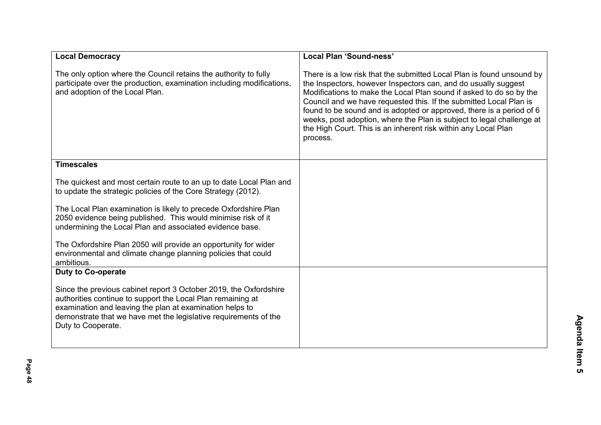| <b>Local Democracy</b>                                                                                                                                                                                                                                                                 | Local Plan 'Sound-ness'                                                                                                                                                                                                                                                                                                                                                                                                                                                                                             |
|----------------------------------------------------------------------------------------------------------------------------------------------------------------------------------------------------------------------------------------------------------------------------------------|---------------------------------------------------------------------------------------------------------------------------------------------------------------------------------------------------------------------------------------------------------------------------------------------------------------------------------------------------------------------------------------------------------------------------------------------------------------------------------------------------------------------|
| The only option where the Council retains the authority to fully<br>participate over the production, examination including modifications,<br>and adoption of the Local Plan.                                                                                                           | There is a low risk that the submitted Local Plan is found unsound by<br>the Inspectors, however Inspectors can, and do usually suggest<br>Modifications to make the Local Plan sound if asked to do so by the<br>Council and we have requested this. If the submitted Local Plan is<br>found to be sound and is adopted or approved, there is a period of 6<br>weeks, post adoption, where the Plan is subject to legal challenge at<br>the High Court. This is an inherent risk within any Local Plan<br>process. |
| <b>Timescales</b>                                                                                                                                                                                                                                                                      |                                                                                                                                                                                                                                                                                                                                                                                                                                                                                                                     |
| The quickest and most certain route to an up to date Local Plan and<br>to update the strategic policies of the Core Strategy (2012).                                                                                                                                                   |                                                                                                                                                                                                                                                                                                                                                                                                                                                                                                                     |
| The Local Plan examination is likely to precede Oxfordshire Plan<br>2050 evidence being published. This would minimise risk of it<br>undermining the Local Plan and associated evidence base.                                                                                          |                                                                                                                                                                                                                                                                                                                                                                                                                                                                                                                     |
| The Oxfordshire Plan 2050 will provide an opportunity for wider<br>environmental and climate change planning policies that could<br>ambitious.                                                                                                                                         |                                                                                                                                                                                                                                                                                                                                                                                                                                                                                                                     |
| <b>Duty to Co-operate</b>                                                                                                                                                                                                                                                              |                                                                                                                                                                                                                                                                                                                                                                                                                                                                                                                     |
| Since the previous cabinet report 3 October 2019, the Oxfordshire<br>authorities continue to support the Local Plan remaining at<br>examination and leaving the plan at examination helps to<br>demonstrate that we have met the legislative requirements of the<br>Duty to Cooperate. |                                                                                                                                                                                                                                                                                                                                                                                                                                                                                                                     |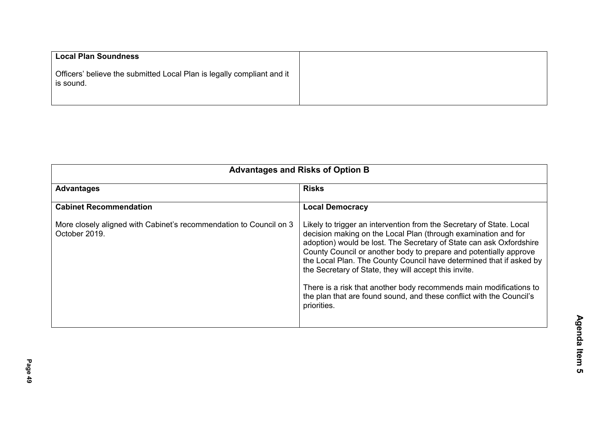| <b>Local Plan Soundness</b>                                                         |
|-------------------------------------------------------------------------------------|
| Officers' believe the submitted Local Plan is legally compliant and it<br>is sound. |

| <b>Cabinet Recommendation</b>                                                       |                                                                                                                                                                                                                                                                                                                                                                                                                                                                                                                                                                                 |
|-------------------------------------------------------------------------------------|---------------------------------------------------------------------------------------------------------------------------------------------------------------------------------------------------------------------------------------------------------------------------------------------------------------------------------------------------------------------------------------------------------------------------------------------------------------------------------------------------------------------------------------------------------------------------------|
|                                                                                     | <b>Local Democracy</b>                                                                                                                                                                                                                                                                                                                                                                                                                                                                                                                                                          |
| More closely aligned with Cabinet's recommendation to Council on 3<br>October 2019. | Likely to trigger an intervention from the Secretary of State. Local<br>decision making on the Local Plan (through examination and for<br>adoption) would be lost. The Secretary of State can ask Oxfordshire<br>County Council or another body to prepare and potentially approve<br>the Local Plan. The County Council have determined that if asked by<br>the Secretary of State, they will accept this invite.<br>There is a risk that another body recommends main modifications to<br>the plan that are found sound, and these conflict with the Council's<br>priorities. |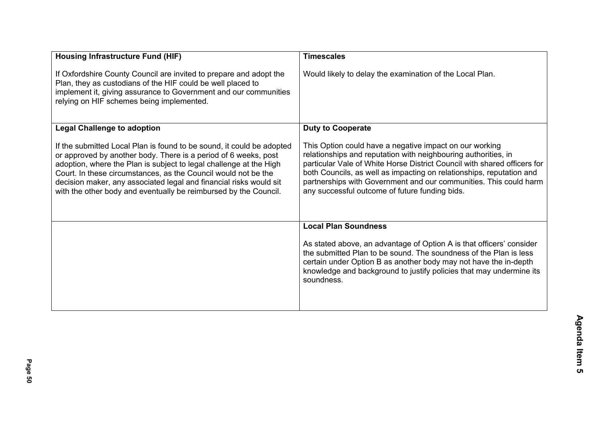| <b>Housing Infrastructure Fund (HIF)</b>                                                                                                                                                                                                                                                                                                                                                                                   | <b>Timescales</b>                                                                                                                                                                                                                                                                                                                                                                                    |
|----------------------------------------------------------------------------------------------------------------------------------------------------------------------------------------------------------------------------------------------------------------------------------------------------------------------------------------------------------------------------------------------------------------------------|------------------------------------------------------------------------------------------------------------------------------------------------------------------------------------------------------------------------------------------------------------------------------------------------------------------------------------------------------------------------------------------------------|
| If Oxfordshire County Council are invited to prepare and adopt the<br>Plan, they as custodians of the HIF could be well placed to<br>implement it, giving assurance to Government and our communities<br>relying on HIF schemes being implemented.                                                                                                                                                                         | Would likely to delay the examination of the Local Plan.                                                                                                                                                                                                                                                                                                                                             |
| <b>Legal Challenge to adoption</b>                                                                                                                                                                                                                                                                                                                                                                                         | <b>Duty to Cooperate</b>                                                                                                                                                                                                                                                                                                                                                                             |
| If the submitted Local Plan is found to be sound, it could be adopted<br>or approved by another body. There is a period of 6 weeks, post<br>adoption, where the Plan is subject to legal challenge at the High<br>Court. In these circumstances, as the Council would not be the<br>decision maker, any associated legal and financial risks would sit<br>with the other body and eventually be reimbursed by the Council. | This Option could have a negative impact on our working<br>relationships and reputation with neighbouring authorities, in<br>particular Vale of White Horse District Council with shared officers for<br>both Councils, as well as impacting on relationships, reputation and<br>partnerships with Government and our communities. This could harm<br>any successful outcome of future funding bids. |
|                                                                                                                                                                                                                                                                                                                                                                                                                            | <b>Local Plan Soundness</b>                                                                                                                                                                                                                                                                                                                                                                          |
|                                                                                                                                                                                                                                                                                                                                                                                                                            | As stated above, an advantage of Option A is that officers' consider<br>the submitted Plan to be sound. The soundness of the Plan is less<br>certain under Option B as another body may not have the in-depth<br>knowledge and background to justify policies that may undermine its<br>soundness.                                                                                                   |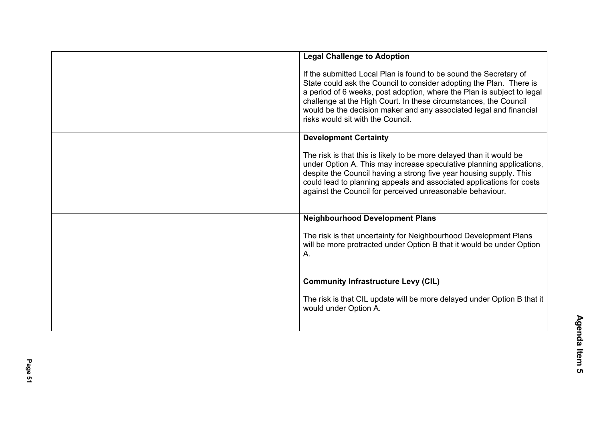| <b>Legal Challenge to Adoption</b>                                                                                                                                                                                                                                                                                                                                                                |
|---------------------------------------------------------------------------------------------------------------------------------------------------------------------------------------------------------------------------------------------------------------------------------------------------------------------------------------------------------------------------------------------------|
| If the submitted Local Plan is found to be sound the Secretary of<br>State could ask the Council to consider adopting the Plan. There is<br>a period of 6 weeks, post adoption, where the Plan is subject to legal<br>challenge at the High Court. In these circumstances, the Council<br>would be the decision maker and any associated legal and financial<br>risks would sit with the Council. |
| <b>Development Certainty</b>                                                                                                                                                                                                                                                                                                                                                                      |
| The risk is that this is likely to be more delayed than it would be<br>under Option A. This may increase speculative planning applications,<br>despite the Council having a strong five year housing supply. This<br>could lead to planning appeals and associated applications for costs<br>against the Council for perceived unreasonable behaviour.                                            |
| <b>Neighbourhood Development Plans</b>                                                                                                                                                                                                                                                                                                                                                            |
| The risk is that uncertainty for Neighbourhood Development Plans<br>will be more protracted under Option B that it would be under Option<br>Α.                                                                                                                                                                                                                                                    |
| <b>Community Infrastructure Levy (CIL)</b>                                                                                                                                                                                                                                                                                                                                                        |
| The risk is that CIL update will be more delayed under Option B that it<br>would under Option A.                                                                                                                                                                                                                                                                                                  |